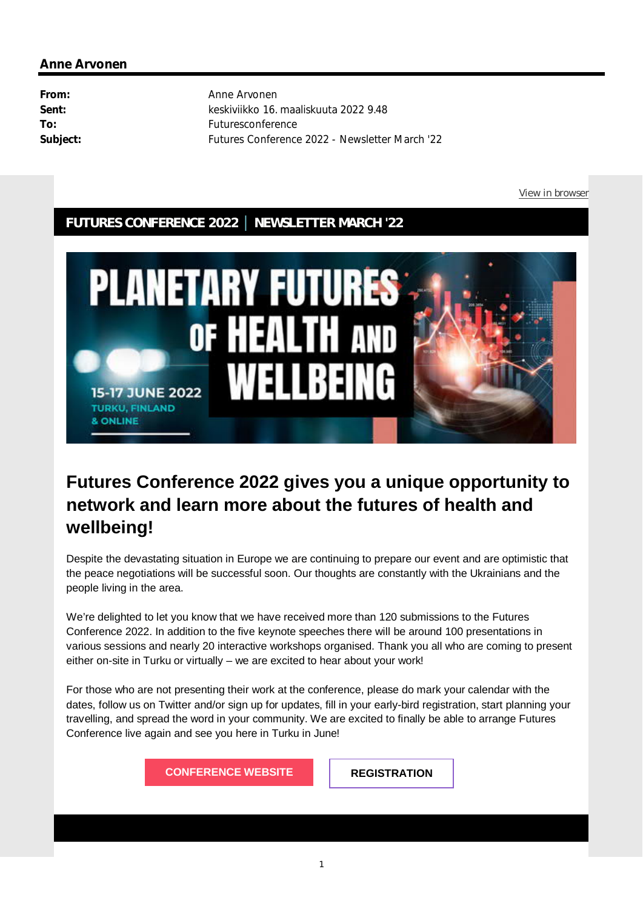#### **FUTURES CONFERENCE 2022 │ NEWSLETTER MARCH '22**



# **Futures Conference 2022 gives you a unique opportunity to network and learn more about the futures of health and wellbeing!**

Despite the devastating situation in Europe we are continuing to prepare our event and are optimistic that the peace negotiations will be successful soon. Our thoughts are constantly with the Ukrainians and the people living in the area.

We're delighted to let you know that we have received more than 120 submissions to the Futures Conference 2022. In addition to the five keynote speeches there will be around 100 presentations in various sessions and nearly 20 interactive workshops organised. Thank you all who are coming to present either on-site in Turku or virtually – we are excited to hear about your work!

For those who are not presenting their work at the conference, please do mark your calendar with the dates, follow us on Twitter and/or sign up for updates, fill in your early-bird registration, start planning your travelling, and spread the word in your community. We are excited to finally be able to arrange Futures Conference live again and see you here in Turku in June!

**CONFERENCE WEBSITE REGISTRATION**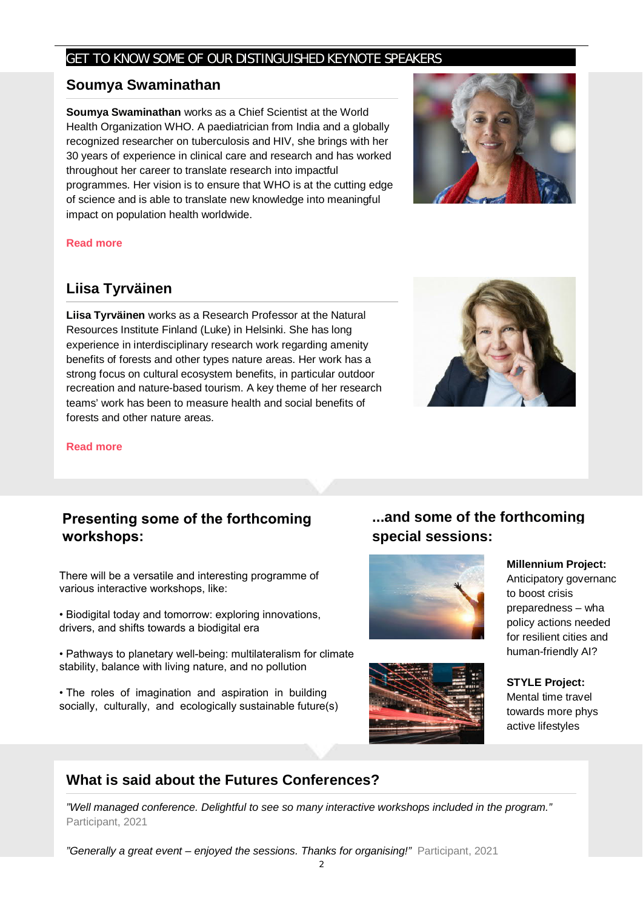#### GET TO KNOW SOME OF OUR DISTINGUISHED KEYNOTE SPEAKERS

#### **Soumya Swaminathan**

**Soumya Swaminathan** works as a Chief Scientist at the World Health Organization WHO. A paediatrician from India and a globally recognized researcher on tuberculosis and HIV, she brings with her 30 years of experience in clinical care and research and has worked throughout her career to translate research into impactful programmes. Her vision is to ensure that WHO is at the cutting edge of science and is able to translate new knowledge into meaningful impact on population health worldwide.



#### **Read more**

#### **Liisa Tyrväinen**

**Liisa Tyrväinen** works as a Research Professor at the Natural Resources Institute Finland (Luke) in Helsinki. She has long experience in interdisciplinary research work regarding amenity benefits of forests and other types nature areas. Her work has a strong focus on cultural ecosystem benefits, in particular outdoor recreation and nature-based tourism. A key theme of her research teams' work has been to measure health and social benefits of forests and other nature areas.



#### **Read more**

### **Presenting some of the forthcoming workshops:**

There will be a versatile and interesting programme of various interactive workshops, like:

• Biodigital today and tomorrow: exploring innovations, drivers, and shifts towards a biodigital era

• Pathways to planetary well-being: multilateralism for climate stability, balance with living nature, and no pollution

• The roles of imagination and aspiration in building socially, culturally, and ecologically sustainable future(s)

### **...and some of the forthcoming special sessions:**





**Millennium Project:**

Anticipatory governanc to boost crisis preparedness – wha policy actions needed for resilient cities and human-friendly AI?

**STYLE Project:** Mental time travel towards more phys active lifestyles

# **What is said about the Futures Conferences?**

*"Well managed conference. Delightful to see so many interactive workshops included in the program."* Participant, 2021

*"Generally a great event – enjoyed the sessions. Thanks for organising!"* Participant, 2021